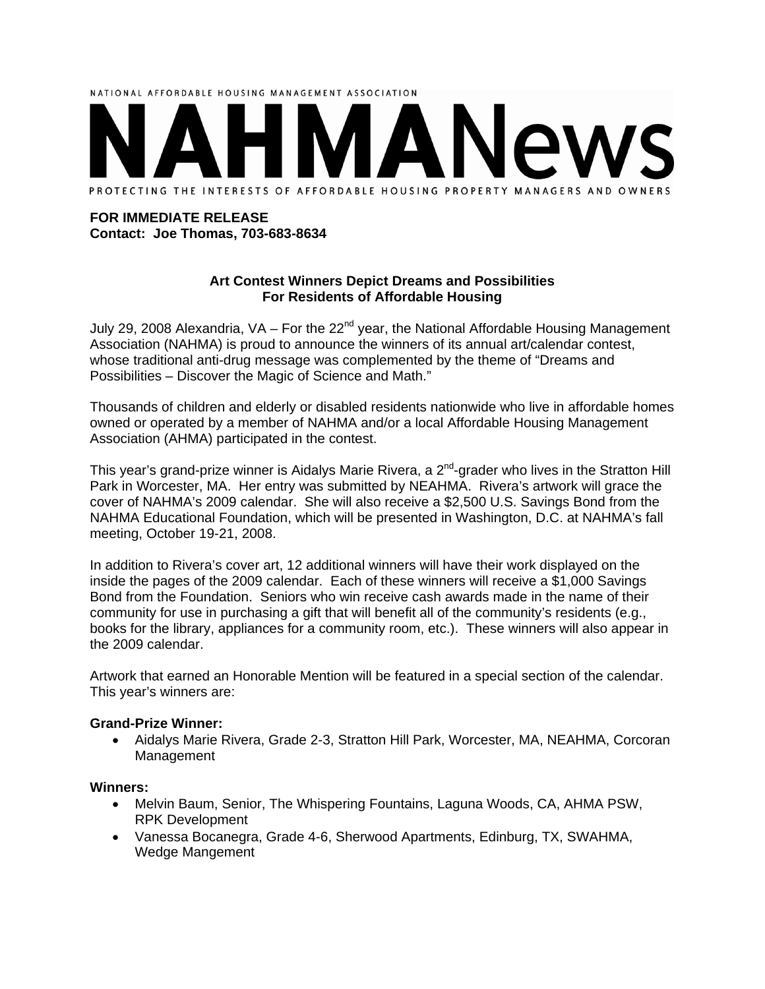# NATIONAL AFFORDABLE HOUSING MANAGEMENT ASSOCIATION PROTECTING THE INTERESTS OF AFFORDABLE HOUSING PROPERTY MANAGERS AND OWNERS

#### **FOR IMMEDIATE RELEASE Contact: Joe Thomas, 703-683-8634**

### **Art Contest Winners Depict Dreams and Possibilities For Residents of Affordable Housing**

July 29, 2008 Alexandria, VA - For the 22<sup>nd</sup> year, the National Affordable Housing Management Association (NAHMA) is proud to announce the winners of its annual art/calendar contest, whose traditional anti-drug message was complemented by the theme of "Dreams and Possibilities – Discover the Magic of Science and Math."

Thousands of children and elderly or disabled residents nationwide who live in affordable homes owned or operated by a member of NAHMA and/or a local Affordable Housing Management Association (AHMA) participated in the contest.

This year's grand-prize winner is Aidalys Marie Rivera, a 2<sup>nd</sup>-grader who lives in the Stratton Hill Park in Worcester, MA. Her entry was submitted by NEAHMA. Rivera's artwork will grace the cover of NAHMA's 2009 calendar. She will also receive a \$2,500 U.S. Savings Bond from the NAHMA Educational Foundation, which will be presented in Washington, D.C. at NAHMA's fall meeting, October 19-21, 2008.

In addition to Rivera's cover art, 12 additional winners will have their work displayed on the inside the pages of the 2009 calendar. Each of these winners will receive a \$1,000 Savings Bond from the Foundation. Seniors who win receive cash awards made in the name of their community for use in purchasing a gift that will benefit all of the community's residents (e.g., books for the library, appliances for a community room, etc.). These winners will also appear in the 2009 calendar.

Artwork that earned an Honorable Mention will be featured in a special section of the calendar. This year's winners are:

### **Grand-Prize Winner:**

• Aidalys Marie Rivera, Grade 2-3, Stratton Hill Park, Worcester, MA, NEAHMA, Corcoran Management

#### **Winners:**

- Melvin Baum, Senior, The Whispering Fountains, Laguna Woods, CA, AHMA PSW, RPK Development
- Vanessa Bocanegra, Grade 4-6, Sherwood Apartments, Edinburg, TX, SWAHMA, Wedge Mangement